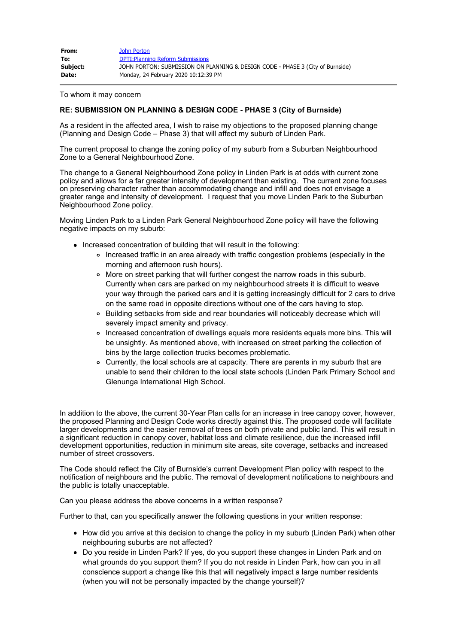| From:    | John Porton                                                                    |
|----------|--------------------------------------------------------------------------------|
| To:      | <b>DPTI: Planning Reform Submissions</b>                                       |
| Subject: | JOHN PORTON: SUBMISSION ON PLANNING & DESIGN CODE - PHASE 3 (City of Burnside) |
| Date:    | Monday, 24 February 2020 10:12:39 PM                                           |

To whom it may concern

## **RE: SUBMISSION ON PLANNING & DESIGN CODE - PHASE 3 (City of Burnside)**

As a resident in the affected area, I wish to raise my objections to the proposed planning change (Planning and Design Code – Phase 3) that will affect my suburb of Linden Park.

The current proposal to change the zoning policy of my suburb from a Suburban Neighbourhood Zone to a General Neighbourhood Zone.

The change to a General Neighbourhood Zone policy in Linden Park is at odds with current zone policy and allows for a far greater intensity of development than existing. The current zone focuses on preserving character rather than accommodating change and infill and does not envisage a greater range and intensity of development. I request that you move Linden Park to the Suburban Neighbourhood Zone policy.

Moving Linden Park to a Linden Park General Neighbourhood Zone policy will have the following negative impacts on my suburb:

- Increased concentration of building that will result in the following:
	- Increased traffic in an area already with traffic congestion problems (especially in the morning and afternoon rush hours).
	- More on street parking that will further congest the narrow roads in this suburb. Currently when cars are parked on my neighbourhood streets it is difficult to weave your way through the parked cars and it is getting increasingly difficult for 2 cars to drive on the same road in opposite directions without one of the cars having to stop.
	- o Building setbacks from side and rear boundaries will noticeably decrease which will severely impact amenity and privacy.
	- Increased concentration of dwellings equals more residents equals more bins. This will be unsightly. As mentioned above, with increased on street parking the collection of bins by the large collection trucks becomes problematic.
	- Currently, the local schools are at capacity. There are parents in my suburb that are unable to send their children to the local state schools (Linden Park Primary School and Glenunga International High School.

In addition to the above, the current 30-Year Plan calls for an increase in tree canopy cover, however, the proposed Planning and Design Code works directly against this. The proposed code will facilitate larger developments and the easier removal of trees on both private and public land. This will result in a significant reduction in canopy cover, habitat loss and climate resilience, due the increased infill development opportunities, reduction in minimum site areas, site coverage, setbacks and increased number of street crossovers.

The Code should reflect the City of Burnside's current Development Plan policy with respect to the notification of neighbours and the public. The removal of development notifications to neighbours and the public is totally unacceptable.

Can you please address the above concerns in a written response?

Further to that, can you specifically answer the following questions in your written response:

- How did you arrive at this decision to change the policy in my suburb (Linden Park) when other neighbouring suburbs are not affected?
- Do you reside in Linden Park? If yes, do you support these changes in Linden Park and on what grounds do you support them? If you do not reside in Linden Park, how can you in all conscience support a change like this that will negatively impact a large number residents (when you will not be personally impacted by the change yourself)?